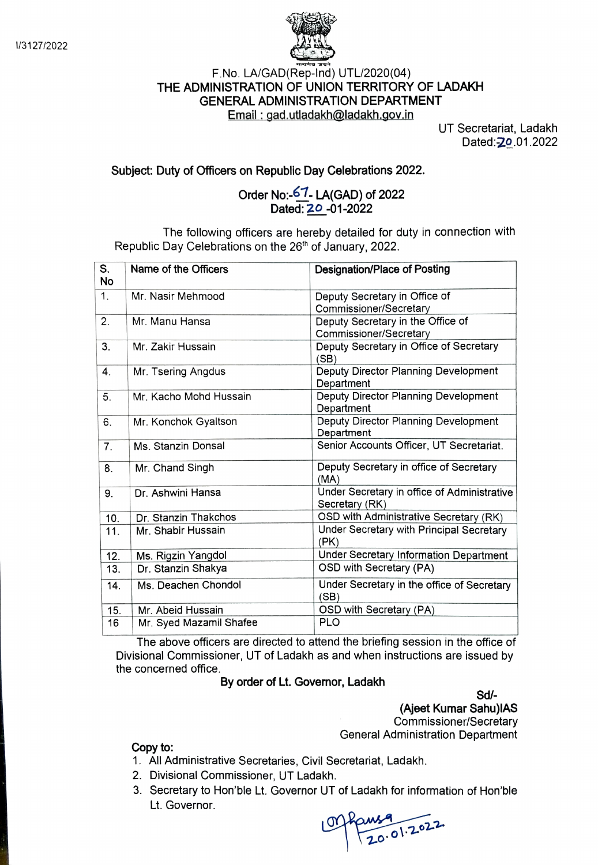

## F.No. LA/GAD(Rep-Ind) UTL/2020(04) THE ADMINISTRATION OF UNION TERRITORY OF LADAKH GENERAL ADMINISTRATION DEPARTMENT Email: gad.utladakh@ladakh.gov.in UT Secretariat, Ladakh

Dated: **20.01.2022** 

## Subject: Duty of Officers on Republic Day Celebrations 2022.

## Order No:-67. LA(GAD) of 2022 Dated: 20 -01-2022

The following officers are hereby detailed for duty in connection with Republic Day Celebrations on the 26<sup>th</sup> of January, 2022.

| S.<br>No | Name of the Officers    | <b>Designation/Place of Posting</b>                           |
|----------|-------------------------|---------------------------------------------------------------|
| 1.       | Mr. Nasir Mehmood       | Deputy Secretary in Office of                                 |
|          |                         | Commissioner/Secretary                                        |
| 2.       | Mr. Manu Hansa          | Deputy Secretary in the Office of                             |
|          |                         | Commissioner/Secretary                                        |
| 3.       | Mr. Zakir Hussain       | Deputy Secretary in Office of Secretary<br>(SB)               |
| 4.       | Mr. Tsering Angdus      | Deputy Director Planning Development<br>Department            |
| 5.       | Mr. Kacho Mohd Hussain  | Deputy Director Planning Development<br>Department            |
| 6.       | Mr. Konchok Gyaltson    | Deputy Director Planning Development<br>Department            |
| 7.       | Ms. Stanzin Donsal      | Senior Accounts Officer, UT Secretariat.                      |
| 8.       | Mr. Chand Singh         | Deputy Secretary in office of Secretary<br>(MA)               |
| 9.       | Dr. Ashwini Hansa       | Under Secretary in office of Administrative<br>Secretary (RK) |
| 10.      | Dr. Stanzin Thakchos    | OSD with Administrative Secretary (RK)                        |
| 11.      | Mr. Shabir Hussain      | Under Secretary with Principal Secretary<br>(PK)              |
| 12.      | Ms. Rigzin Yangdol      | Under Secretary Information Department                        |
| 13.      | Dr. Stanzin Shakya      | OSD with Secretary (PA)                                       |
| 14.      | Ms. Deachen Chondol     | Under Secretary in the office of Secretary<br>(SB)            |
| 15.      | Mr. Abeid Hussain       | OSD with Secretary (PA)                                       |
| 16       | Mr. Syed Mazamil Shafee | PLO                                                           |

The above officers are directed to attend the briefing session in the office of Divisional Commissioner, UT of Ladakh as and when instructions are issued by the concerned office.

## By order of Lt. Govemor, Ladakh

Sd/

(Ajeet Kumar Sahu)IAS Commissioner/Secretary General Administration Department

Copy to:

- 1. All Administrative Secretaries, Civil Secretariat, Ladakh.
- 2. Divisional Commissioner, UT Ladakh.
- 3. Secretary to Hon'ble Lt. Governor UT of Ladakh for information of Hon'ble Lt. Governor.

 $70.01.2022$